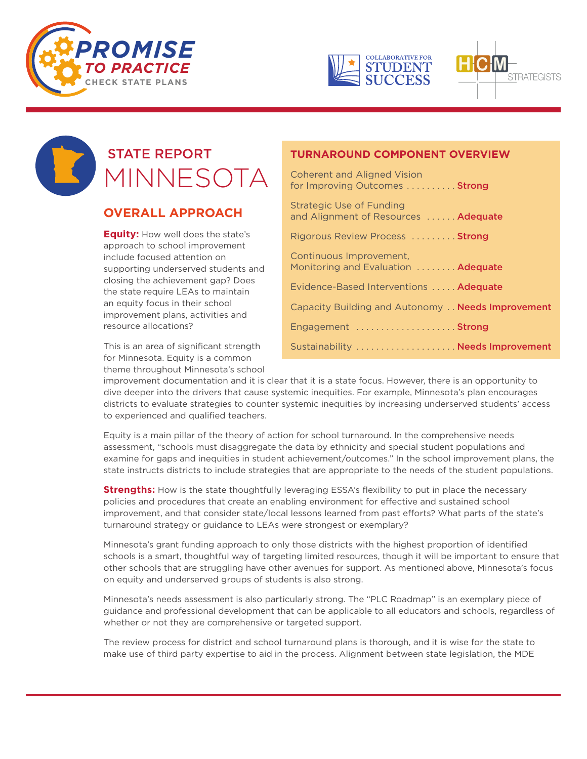





# STATE REPORT MINNESOTA

# **OVERALL APPROACH**

**Equity:** How well does the state's approach to school improvement include focused attention on supporting underserved students and closing the achievement gap? Does the state require LEAs to maintain an equity focus in their school improvement plans, activities and resource allocations?

This is an area of significant strength for Minnesota. Equity is a common theme throughout Minnesota's school

### **TURNAROUND COMPONENT OVERVIEW**

Coherent and Aligned Vision for Improving Outcomes . . . . . . . . . **Strong** 

Strategic Use of Funding and Alignment of Resources ...... Adequate Rigorous Review Process . . . . . . . . . Strong

Continuous Improvement, Monitoring and Evaluation ........ Adequate Evidence-Based Interventions . . . . . Adequate Capacity Building and Autonomy. . Needs Improvement Engagement ..................... Strong

Sustainability ..................... Needs Improvement

improvement documentation and it is clear that it is a state focus. However, there is an opportunity to dive deeper into the drivers that cause systemic inequities. For example, Minnesota's plan encourages districts to evaluate strategies to counter systemic inequities by increasing underserved students' access to experienced and qualified teachers.

Equity is a main pillar of the theory of action for school turnaround. In the comprehensive needs assessment, "schools must disaggregate the data by ethnicity and special student populations and examine for gaps and inequities in student achievement/outcomes." In the school improvement plans, the state instructs districts to include strategies that are appropriate to the needs of the student populations.

**Strengths:** How is the state thoughtfully leveraging ESSA's flexibility to put in place the necessary policies and procedures that create an enabling environment for effective and sustained school improvement, and that consider state/local lessons learned from past efforts? What parts of the state's turnaround strategy or guidance to LEAs were strongest or exemplary?

Minnesota's grant funding approach to only those districts with the highest proportion of identified schools is a smart, thoughtful way of targeting limited resources, though it will be important to ensure that other schools that are struggling have other avenues for support. As mentioned above, Minnesota's focus on equity and underserved groups of students is also strong.

Minnesota's needs assessment is also particularly strong. The "PLC Roadmap" is an exemplary piece of guidance and professional development that can be applicable to all educators and schools, regardless of whether or not they are comprehensive or targeted support.

The review process for district and school turnaround plans is thorough, and it is wise for the state to make use of third party expertise to aid in the process. Alignment between state legislation, the MDE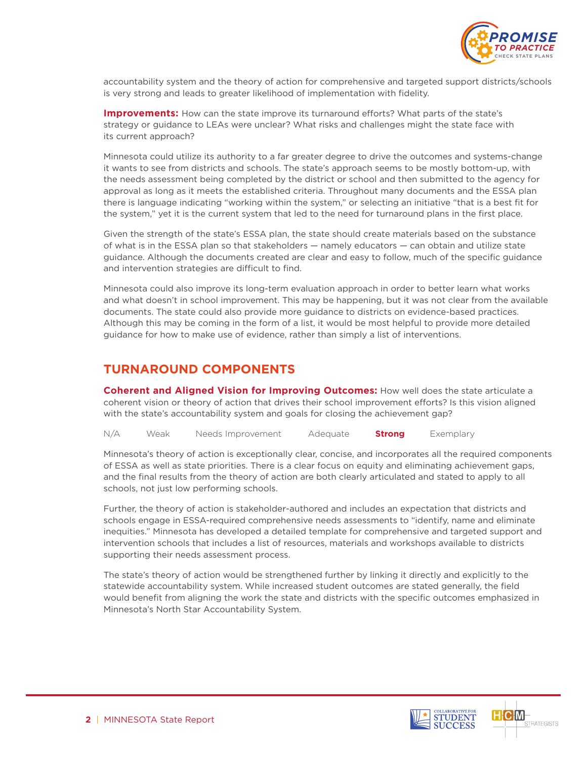

accountability system and the theory of action for comprehensive and targeted support districts/schools is very strong and leads to greater likelihood of implementation with fidelity.

**Improvements:** How can the state improve its turnaround efforts? What parts of the state's strategy or guidance to LEAs were unclear? What risks and challenges might the state face with its current approach?

Minnesota could utilize its authority to a far greater degree to drive the outcomes and systems-change it wants to see from districts and schools. The state's approach seems to be mostly bottom-up, with the needs assessment being completed by the district or school and then submitted to the agency for approval as long as it meets the established criteria. Throughout many documents and the ESSA plan there is language indicating "working within the system," or selecting an initiative "that is a best fit for the system," yet it is the current system that led to the need for turnaround plans in the first place.

Given the strength of the state's ESSA plan, the state should create materials based on the substance of what is in the ESSA plan so that stakeholders — namely educators — can obtain and utilize state guidance. Although the documents created are clear and easy to follow, much of the specific guidance and intervention strategies are difficult to find.

Minnesota could also improve its long-term evaluation approach in order to better learn what works and what doesn't in school improvement. This may be happening, but it was not clear from the available documents. The state could also provide more guidance to districts on evidence-based practices. Although this may be coming in the form of a list, it would be most helpful to provide more detailed guidance for how to make use of evidence, rather than simply a list of interventions.

## **TURNAROUND COMPONENTS**

**Coherent and Aligned Vision for Improving Outcomes:** How well does the state articulate a coherent vision or theory of action that drives their school improvement efforts? Is this vision aligned with the state's accountability system and goals for closing the achievement gap?

N/A Weak Needs Improvement Adequate **Strong** Exemplary

Minnesota's theory of action is exceptionally clear, concise, and incorporates all the required components of ESSA as well as state priorities. There is a clear focus on equity and eliminating achievement gaps, and the final results from the theory of action are both clearly articulated and stated to apply to all schools, not just low performing schools.

Further, the theory of action is stakeholder-authored and includes an expectation that districts and schools engage in ESSA-required comprehensive needs assessments to "identify, name and eliminate inequities." Minnesota has developed a detailed template for comprehensive and targeted support and intervention schools that includes a list of resources, materials and workshops available to districts supporting their needs assessment process.

The state's theory of action would be strengthened further by linking it directly and explicitly to the statewide accountability system. While increased student outcomes are stated generally, the field would benefit from aligning the work the state and districts with the specific outcomes emphasized in Minnesota's North Star Accountability System.



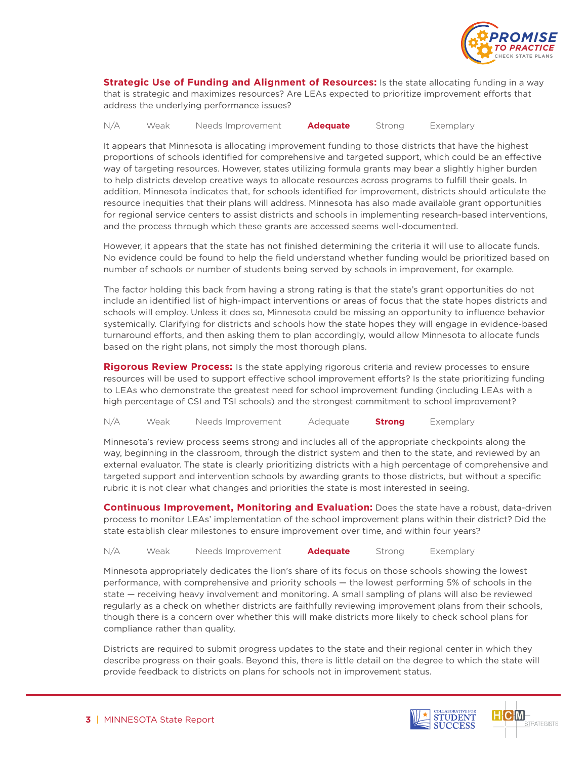

**Strategic Use of Funding and Alignment of Resources:** Is the state allocating funding in a way that is strategic and maximizes resources? Are LEAs expected to prioritize improvement efforts that address the underlying performance issues?

#### N/A Weak Needs Improvement **Adequate** Strong Exemplary

It appears that Minnesota is allocating improvement funding to those districts that have the highest proportions of schools identified for comprehensive and targeted support, which could be an effective way of targeting resources. However, states utilizing formula grants may bear a slightly higher burden to help districts develop creative ways to allocate resources across programs to fulfill their goals. In addition, Minnesota indicates that, for schools identified for improvement, districts should articulate the resource inequities that their plans will address. Minnesota has also made available grant opportunities for regional service centers to assist districts and schools in implementing research-based interventions, and the process through which these grants are accessed seems well-documented.

However, it appears that the state has not finished determining the criteria it will use to allocate funds. No evidence could be found to help the field understand whether funding would be prioritized based on number of schools or number of students being served by schools in improvement, for example.

The factor holding this back from having a strong rating is that the state's grant opportunities do not include an identified list of high-impact interventions or areas of focus that the state hopes districts and schools will employ. Unless it does so, Minnesota could be missing an opportunity to influence behavior systemically. Clarifying for districts and schools how the state hopes they will engage in evidence-based turnaround efforts, and then asking them to plan accordingly, would allow Minnesota to allocate funds based on the right plans, not simply the most thorough plans.

**Rigorous Review Process:** Is the state applying rigorous criteria and review processes to ensure resources will be used to support effective school improvement efforts? Is the state prioritizing funding to LEAs who demonstrate the greatest need for school improvement funding (including LEAs with a high percentage of CSI and TSI schools) and the strongest commitment to school improvement?

N/A Weak Needs Improvement Adequate **Strong** Exemplary

Minnesota's review process seems strong and includes all of the appropriate checkpoints along the way, beginning in the classroom, through the district system and then to the state, and reviewed by an external evaluator. The state is clearly prioritizing districts with a high percentage of comprehensive and targeted support and intervention schools by awarding grants to those districts, but without a specific rubric it is not clear what changes and priorities the state is most interested in seeing.

**Continuous Improvement, Monitoring and Evaluation:** Does the state have a robust, data-driven process to monitor LEAs' implementation of the school improvement plans within their district? Did the state establish clear milestones to ensure improvement over time, and within four years?

N/A Weak Needs Improvement **Adequate** Strong Exemplary

Minnesota appropriately dedicates the lion's share of its focus on those schools showing the lowest performance, with comprehensive and priority schools — the lowest performing 5% of schools in the state — receiving heavy involvement and monitoring. A small sampling of plans will also be reviewed regularly as a check on whether districts are faithfully reviewing improvement plans from their schools, though there is a concern over whether this will make districts more likely to check school plans for compliance rather than quality.

Districts are required to submit progress updates to the state and their regional center in which they describe progress on their goals. Beyond this, there is little detail on the degree to which the state will provide feedback to districts on plans for schools not in improvement status.

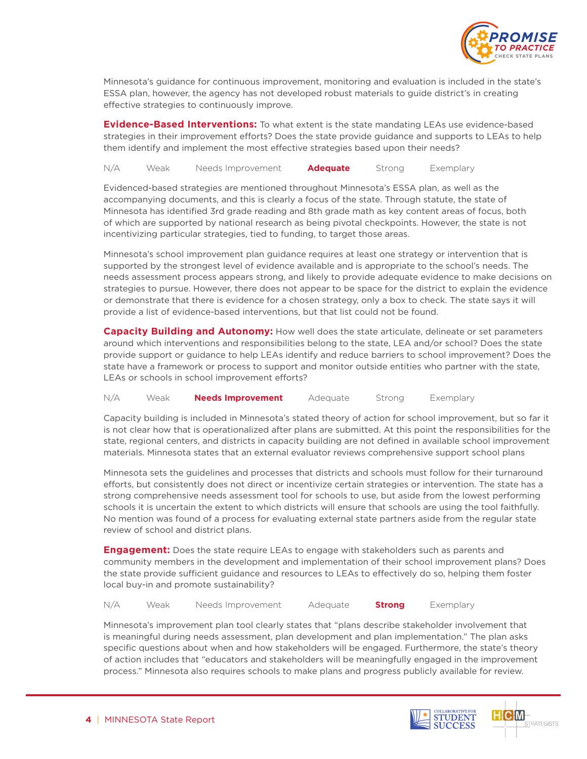

Minnesota's guidance for continuous improvement, monitoring and evaluation is included in the state's ESSA plan, however, the agency has not developed robust materials to guide district's in creating effective strategies to continuously improve.

**Evidence-Based Interventions:** To what extent is the state mandating LEAs use evidence-based strategies in their improvement efforts? Does the state provide guidance and supports to LEAs to help them identify and implement the most effective strategies based upon their needs?

N/A Weak Needs Improvement **Adequate** Strong Exemplary

Evidenced-based strategies are mentioned throughout Minnesota's ESSA plan, as well as the accompanying documents, and this is clearly a focus of the state. Through statute, the state of Minnesota has identified 3rd grade reading and 8th grade math as key content areas of focus, both of which are supported by national research as being pivotal checkpoints. However, the state is not incentivizing particular strategies, tied to funding, to target those areas.

Minnesota's school improvement plan guidance requires at least one strategy or intervention that is supported by the strongest level of evidence available and is appropriate to the school's needs. The needs assessment process appears strong, and likely to provide adequate evidence to make decisions on strategies to pursue. However, there does not appear to be space for the district to explain the evidence or demonstrate that there is evidence for a chosen strategy, only a box to check. The state says it will provide a list of evidence-based interventions, but that list could not be found.

**Capacity Building and Autonomy:** How well does the state articulate, delineate or set parameters around which interventions and responsibilities belong to the state, LEA and/or school? Does the state provide support or guidance to help LEAs identify and reduce barriers to school improvement? Does the state have a framework or process to support and monitor outside entities who partner with the state, LEAs or schools in school improvement efforts?

N/A Weak **Needs Improvement** Adequate Strong Exemplary

Capacity building is included in Minnesota's stated theory of action for school improvement, but so far it is not clear how that is operationalized after plans are submitted. At this point the responsibilities for the state, regional centers, and districts in capacity building are not defined in available school improvement materials. Minnesota states that an external evaluator reviews comprehensive support school plans

Minnesota sets the guidelines and processes that districts and schools must follow for their turnaround efforts, but consistently does not direct or incentivize certain strategies or intervention. The state has a strong comprehensive needs assessment tool for schools to use, but aside from the lowest performing schools it is uncertain the extent to which districts will ensure that schools are using the tool faithfully. No mention was found of a process for evaluating external state partners aside from the regular state review of school and district plans.

**Engagement:** Does the state require LEAs to engage with stakeholders such as parents and community members in the development and implementation of their school improvement plans? Does the state provide sufficient guidance and resources to LEAs to effectively do so, helping them foster local buy-in and promote sustainability?

N/A Weak Needs Improvement Adequate **Strong** Exemplary

Minnesota's improvement plan tool clearly states that "plans describe stakeholder involvement that is meaningful during needs assessment, plan development and plan implementation." The plan asks specific questions about when and how stakeholders will be engaged. Furthermore, the state's theory of action includes that "educators and stakeholders will be meaningfully engaged in the improvement process." Minnesota also requires schools to make plans and progress publicly available for review.